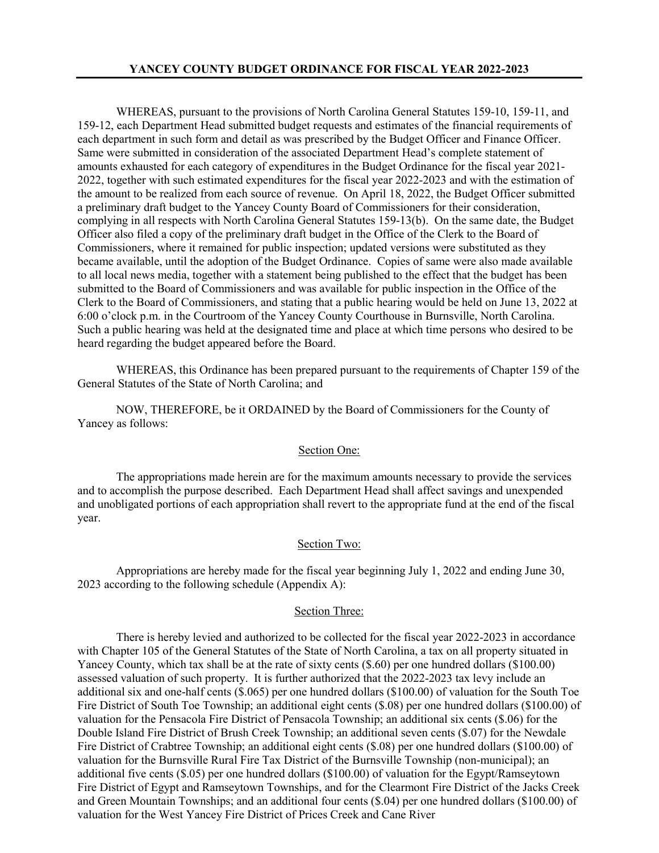WHEREAS, pursuant to the provisions of North Carolina General Statutes 159-10, 159-11, and 159-12, each Department Head submitted budget requests and estimates of the financial requirements of each department in such form and detail as was prescribed by the Budget Officer and Finance Officer. Same were submitted in consideration of the associated Department Head's complete statement of amounts exhausted for each category of expenditures in the Budget Ordinance for the fiscal year 2021- 2022, together with such estimated expenditures for the fiscal year 2022-2023 and with the estimation of the amount to be realized from each source of revenue. On April 18, 2022, the Budget Officer submitted a preliminary draft budget to the Yancey County Board of Commissioners for their consideration, complying in all respects with North Carolina General Statutes 159-13(b). On the same date, the Budget Officer also filed a copy of the preliminary draft budget in the Office of the Clerk to the Board of Commissioners, where it remained for public inspection; updated versions were substituted as they became available, until the adoption of the Budget Ordinance. Copies of same were also made available to all local news media, together with a statement being published to the effect that the budget has been submitted to the Board of Commissioners and was available for public inspection in the Office of the Clerk to the Board of Commissioners, and stating that a public hearing would be held on June 13, 2022 at 6:00 o'clock p.m. in the Courtroom of the Yancey County Courthouse in Burnsville, North Carolina. Such a public hearing was held at the designated time and place at which time persons who desired to be heard regarding the budget appeared before the Board.

WHEREAS, this Ordinance has been prepared pursuant to the requirements of Chapter 159 of the General Statutes of the State of North Carolina; and

NOW, THEREFORE, be it ORDAINED by the Board of Commissioners for the County of Yancey as follows:

#### Section One:

The appropriations made herein are for the maximum amounts necessary to provide the services and to accomplish the purpose described. Each Department Head shall affect savings and unexpended and unobligated portions of each appropriation shall revert to the appropriate fund at the end of the fiscal year.

#### Section Two:

Appropriations are hereby made for the fiscal year beginning July 1, 2022 and ending June 30, 2023 according to the following schedule (Appendix A):

#### Section Three:

There is hereby levied and authorized to be collected for the fiscal year 2022-2023 in accordance with Chapter 105 of the General Statutes of the State of North Carolina, a tax on all property situated in Yancey County, which tax shall be at the rate of sixty cents (\$.60) per one hundred dollars (\$100.00) assessed valuation of such property. It is further authorized that the 2022-2023 tax levy include an additional six and one-half cents (\$.065) per one hundred dollars (\$100.00) of valuation for the South Toe Fire District of South Toe Township; an additional eight cents (\$.08) per one hundred dollars (\$100.00) of valuation for the Pensacola Fire District of Pensacola Township; an additional six cents (\$.06) for the Double Island Fire District of Brush Creek Township; an additional seven cents (\$.07) for the Newdale Fire District of Crabtree Township; an additional eight cents (\$.08) per one hundred dollars (\$100.00) of valuation for the Burnsville Rural Fire Tax District of the Burnsville Township (non-municipal); an additional five cents (\$.05) per one hundred dollars (\$100.00) of valuation for the Egypt/Ramseytown Fire District of Egypt and Ramseytown Townships, and for the Clearmont Fire District of the Jacks Creek and Green Mountain Townships; and an additional four cents (\$.04) per one hundred dollars (\$100.00) of valuation for the West Yancey Fire District of Prices Creek and Cane River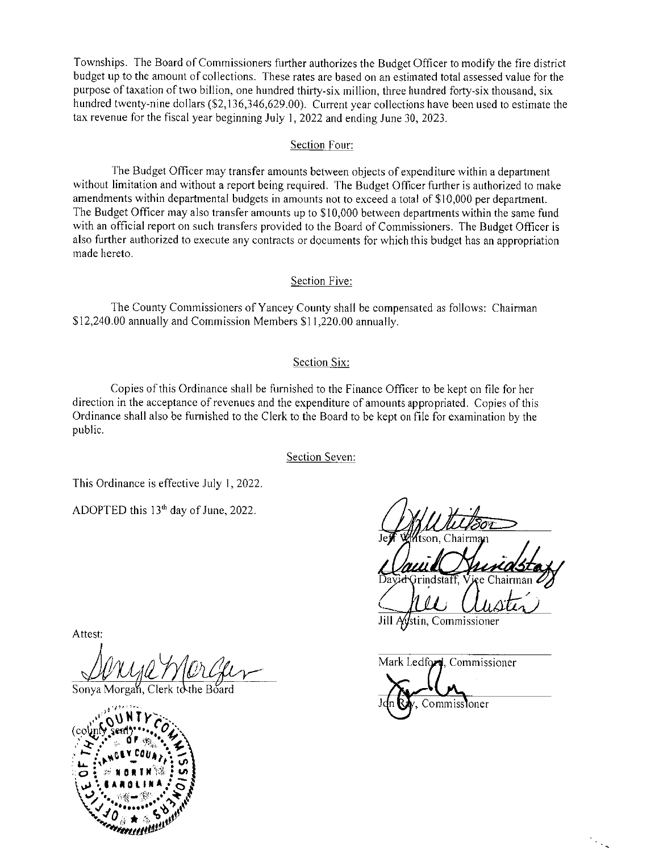Townships. The Board of Commissioners further authorizes the Budget Officer to modify the fire district budget up to the amount of collections. These rates are based on an estimated total assessed value for the purpose of taxation of two billion, one hundred thirty-six million, three hundred forty-six thousand, six hundred twenty-nine dollars (\$2,136,346,629.00). Current year collections have been used to estimate the tax revenue for the fiscal year beginning July 1, 2022 and ending June 30, 2023.

#### Section Four:

The Budget Officer may transfer amounts between objects of expenditure within a department without limitation and without a report being required. The Budget Officer further is authorized to make amendments within departmental budgets in amounts not to exceed a total of \$10,000 per department. The Budget Officer may also transfer amounts up to \$10,000 between departments within the same fund with an official report on such transfers provided to the Board of Commissioners. The Budget Officer is also further authorized to execute any contracts or documents for which this budget has an appropriation made hereto.

#### Section Five:

The County Commissioners of Yancey County shall be compensated as follows: Chairman \$12,240.00 annually and Commission Members \$11,220.00 annually.

### Section Six:

Copies of this Ordinance shall be furnished to the Finance Officer to be kept on file for her direction in the acceptance of revenues and the expenditure of amounts appropriated. Copies of this Ordinance shall also be furnished to the Clerk to the Board to be kept on file for examination by the public.

Section Seven:

This Ordinance is effective July 1, 2022.

ADOPTED this 13<sup>th</sup> day of June, 2022.

Attest:

Sonya Morgah the Board



Mark Ledford, Commissioner

Commissioner

 $\mathcal{P}_{\mathcal{A}_{\mathcal{A}}}$ 

Jill Aystin, Commissioner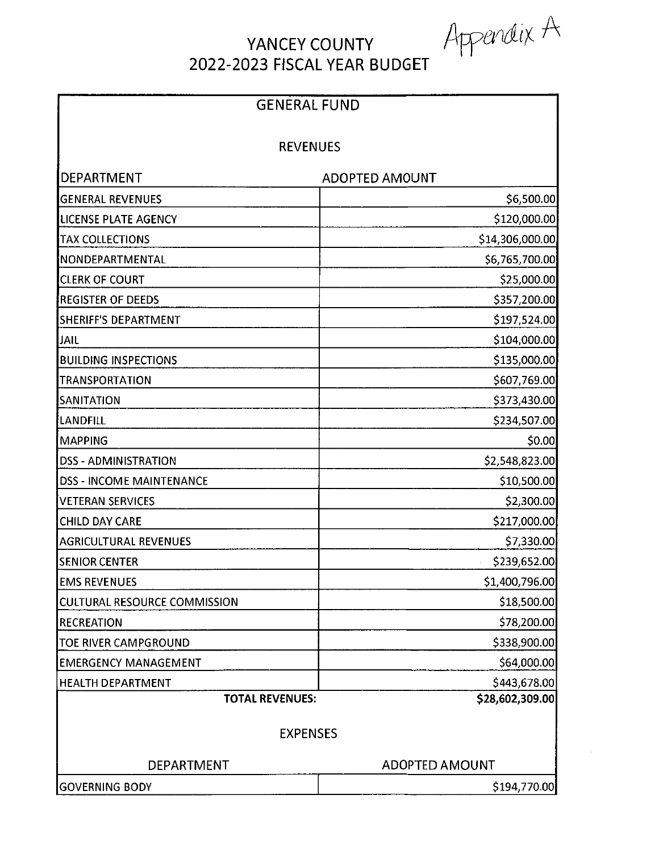Appendix A

 $\bar{z}$ 

# YANCEY COUNTY 2022-2023 FISCAL YEAR BUDGET

| <b>GENERAL FUND</b><br><b>REVENUES</b> |                       |
|----------------------------------------|-----------------------|
|                                        |                       |
| <b>GENERAL REVENUES</b>                | \$6,500.00            |
| <b>LICENSE PLATE AGENCY</b>            | \$120,000.00          |
| TAX COLLECTIONS                        | \$14,306,000.00       |
| NONDEPARTMENTAL                        | \$6,765,700.00        |
| <b>CLERK OF COURT</b>                  | \$25,000.00           |
| <b>REGISTER OF DEEDS</b>               | \$357,200.00          |
| SHERIFF'S DEPARTMENT                   | \$197,524.00          |
| JAIL                                   | \$104,000.00          |
| <b>BUILDING INSPECTIONS</b>            | \$135,000.00          |
| <b>TRANSPORTATION</b>                  | \$607,769.00          |
| SANITATION                             | \$373,430.00          |
| <b>LANDFILL</b>                        | \$234,507.00          |
| <b>MAPPING</b>                         | \$0.00                |
| <b>DSS - ADMINISTRATION</b>            | \$2,548,823.00        |
| <b>DSS - INCOME MAINTENANCE</b>        | \$10,500.00           |
| <b>VETERAN SERVICES</b>                | \$2,300.00            |
| <b>CHILD DAY CARE</b>                  | \$217,000.00          |
| <b>AGRICULTURAL REVENUES</b>           | \$7,330.00]           |
| <b>SENIOR CENTER</b>                   | \$239,652.00          |
| <b>EMS REVENUES</b>                    | \$1,400,796.00        |
| <b>CULTURAL RESOURCE COMMISSION</b>    | \$18,500.00           |
| <b>RECREATION</b>                      | \$78,200.00           |
| TOE RIVER CAMPGROUND                   | \$338,900.00          |
| <b>EMERGENCY MANAGEMENT</b>            | \$64,000.00           |
| <b>HEALTH DEPARTMENT</b>               | \$443,678.00          |
| <b>TOTAL REVENUES:</b>                 | \$28,602,309.00       |
| <b>EXPENSES</b>                        |                       |
| DEPARTMENT                             | <b>ADOPTED AMOUNT</b> |
| <b>GOVERNING BODY</b>                  | \$194,770.00          |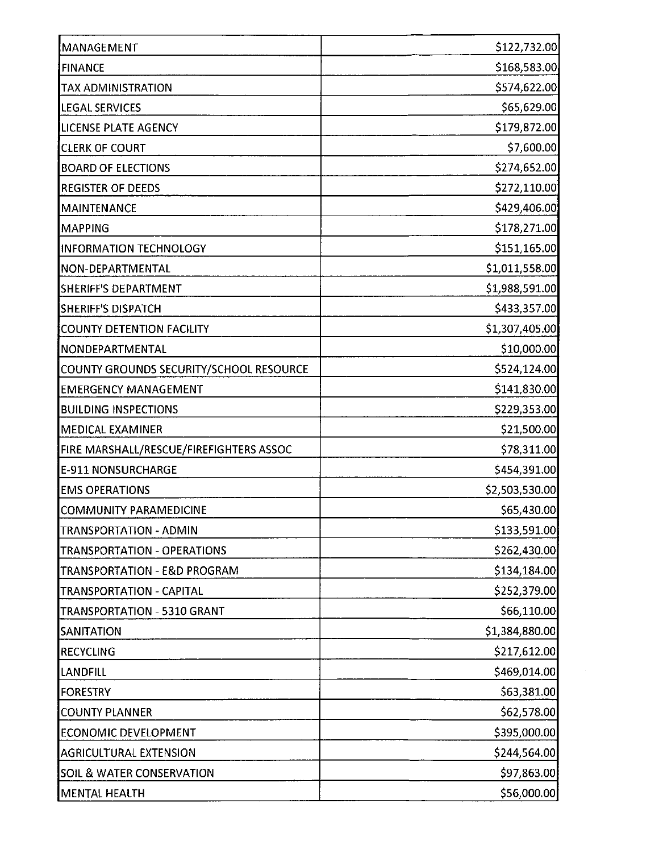| MANAGEMENT                              | \$122,732.00   |
|-----------------------------------------|----------------|
| <b>FINANCE</b>                          | \$168,583.00   |
| TAX ADMINISTRATION                      | \$574,622.00   |
| <b>LEGAL SERVICES</b>                   | \$65,629.00    |
| LICENSE PLATE AGENCY                    | \$179,872.00   |
| <b>CLERK OF COURT</b>                   | \$7,600.00     |
| <b>BOARD OF ELECTIONS</b>               | \$274,652.00   |
| <b>REGISTER OF DEEDS</b>                | \$272,110.00   |
| <b>MAINTENANCE</b>                      | \$429,406.00   |
| MAPPING                                 | \$178,271.00   |
| <b>INFORMATION TECHNOLOGY</b>           | \$151,165.00   |
| NON-DEPARTMENTAL                        | \$1,011,558.00 |
| <b>SHERIFF'S DEPARTMENT</b>             | \$1,988,591.00 |
| <b>SHERIFF'S DISPATCH</b>               | \$433,357.00   |
| <b>COUNTY DETENTION FACILITY</b>        | \$1,307,405.00 |
| NONDEPARTMENTAL                         | \$10,000.00    |
| COUNTY GROUNDS SECURITY/SCHOOL RESOURCE | \$524,124.00   |
| <b>EMERGENCY MANAGEMENT</b>             | \$141,830.00   |
| <b>BUILDING INSPECTIONS</b>             | \$229,353.00   |
| <b>MEDICAL EXAMINER</b>                 | \$21,500.00    |
| FIRE MARSHALL/RESCUE/FIREFIGHTERS ASSOC | \$78,311.00    |
| <b>E-911 NONSURCHARGE</b>               | \$454,391.00   |
| <b>EMS OPERATIONS</b>                   | \$2,503,530.00 |
| COMMUNITY PARAMEDICINE                  | \$65,430.00    |
| TRANSPORTATION - ADMIN                  | \$133,591.00   |
| <b>TRANSPORTATION - OPERATIONS</b>      | \$262,430.00   |
| TRANSPORTATION - E&D PROGRAM            | \$134,184.00   |
| TRANSPORTATION - CAPITAL                | \$252,379.00   |
| TRANSPORTATION - 5310 GRANT             | \$66,110.00    |
| <b>SANITATION</b>                       | \$1,384,880.00 |
| <b>RECYCLING</b>                        | \$217,612.00   |
| <b>LANDFILL</b>                         | \$469,014.00   |
| <b>FORESTRY</b>                         | \$63,381.00    |
| <b>COUNTY PLANNER</b>                   | \$62,578.00    |
| <b>ECONOMIC DEVELOPMENT</b>             | \$395,000.00   |
| <b>AGRICULTURAL EXTENSION</b>           | \$244,564.00   |
| <b>SOIL &amp; WATER CONSERVATION</b>    | \$97,863.00    |
| <b>MENTAL HEALTH</b>                    | \$56,000.00    |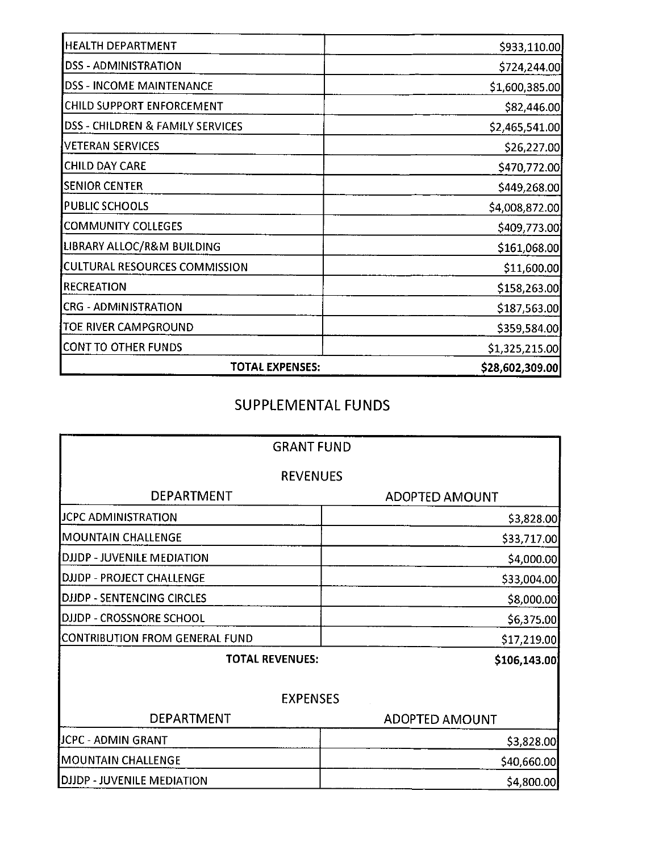| TOTAL EXPENSES:                             | \$28,602,309.00 |
|---------------------------------------------|-----------------|
| <b>CONT TO OTHER FUNDS</b>                  | \$1,325,215.00  |
| TOE RIVER CAMPGROUND                        | \$359,584.00    |
| <b>CRG - ADMINISTRATION</b>                 | \$187,563.00    |
| <b>RECREATION</b>                           | \$158,263.00    |
| CULTURAL RESOURCES COMMISSION               | \$11,600.00     |
| LIBRARY ALLOC/R&M BUILDING                  | \$161,068.00    |
| COMMUNITY COLLEGES                          | \$409,773.00    |
| <b>PUBLIC SCHOOLS</b>                       | \$4,008,872.00  |
| <b>SENIOR CENTER</b>                        | \$449,268.00    |
| <b>CHILD DAY CARE</b>                       | \$470,772.00    |
| VETERAN SERVICES                            | \$26,227.00     |
| <b>DSS - CHILDREN &amp; FAMILY SERVICES</b> | \$2,465,541.00  |
| CHILD SUPPORT ENFORCEMENT                   | \$82,446.00     |
| <b>DSS - INCOME MAINTENANCE</b>             | \$1,600,385.00  |
| <b>DSS - ADMINISTRATION</b>                 | \$724,244.00    |
| <b>HEALTH DEPARTMENT</b>                    | \$933,110.00    |

## SUPPLEMENTAL FUNDS

| <b>GRANT FUND</b>                     |                       |
|---------------------------------------|-----------------------|
| <b>REVENUES</b>                       |                       |
| <b>DEPARTMENT</b>                     | <b>ADOPTED AMOUNT</b> |
| JCPC ADMINISTRATION                   | \$3,828.00            |
| <b>MOUNTAIN CHALLENGE</b>             | \$33,717.00           |
| DJJDP - JUVENILE MEDIATION            | \$4,000.00            |
| DJJDP - PROJECT CHALLENGE             | \$33,004.00           |
| <b>DJJDP - SENTENCING CIRCLES</b>     | \$8,000.00            |
| DJJDP - CROSSNORE SCHOOL              | \$6,375.00            |
| <b>CONTRIBUTION FROM GENERAL FUND</b> | \$17,219.00           |
| <b>TOTAL REVENUES:</b>                | \$106,143.00          |
| <b>EXPENSES</b>                       |                       |
| DEPARTMENT                            | <b>ADOPTED AMOUNT</b> |
| JCPC - ADMIN GRANT                    | \$3,828.00            |
| <b>MOUNTAIN CHALLENGE</b>             | \$40,660.00           |
| <b>DJJDP - JUVENILE MEDIATION</b>     | \$4,800.00            |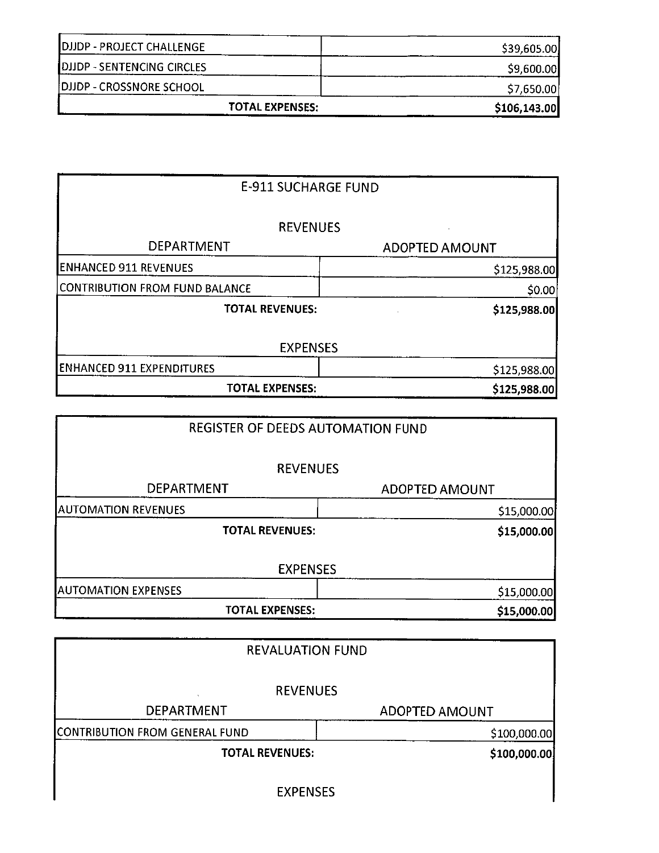| <b>TOTAL EXPENSES:</b>           | \$106,143.00 |
|----------------------------------|--------------|
| DJJDP - CROSSNORE SCHOOL         | \$7,650.00   |
| DJJDP - SENTENCING CIRCLES       | \$9,600.00   |
| <b>DJJDP - PROJECT CHALLENGE</b> | \$39,605.00  |

| <b>E-911 SUCHARGE FUND</b>       |                       |
|----------------------------------|-----------------------|
| <b>REVENUES</b>                  |                       |
| <b>DEPARTMENT</b>                | <b>ADOPTED AMOUNT</b> |
| <b>ENHANCED 911 REVENUES</b>     | \$125,988.00          |
| CONTRIBUTION FROM FUND BALANCE   | \$0.00                |
| <b>TOTAL REVENUES:</b>           | \$125,988.00          |
| <b>EXPENSES</b>                  |                       |
| <b>ENHANCED 911 EXPENDITURES</b> | \$125,988.00          |
| <b>TOTAL EXPENSES:</b>           | \$125,988.00          |

| REGISTER OF DEEDS AUTOMATION FUND |                       |
|-----------------------------------|-----------------------|
| <b>REVENUES</b>                   |                       |
| <b>DEPARTMENT</b>                 | <b>ADOPTED AMOUNT</b> |
| <b>AUTOMATION REVENUES</b>        | \$15,000.00           |
| <b>TOTAL REVENUES:</b>            | \$15,000.00           |
| <b>EXPENSES</b>                   |                       |
| <b>AUTOMATION EXPENSES</b>        | \$15,000.00           |
| <b>TOTAL EXPENSES:</b>            | \$15,000.00           |

| <b>REVALUATION FUND</b>        |                |
|--------------------------------|----------------|
| <b>REVENUES</b>                |                |
| <b>DEPARTMENT</b>              | ADOPTED AMOUNT |
| CONTRIBUTION FROM GENERAL FUND | \$100,000.00   |
| <b>TOTAL REVENUES:</b>         | \$100,000.00   |
| <b>EXPENSES</b>                |                |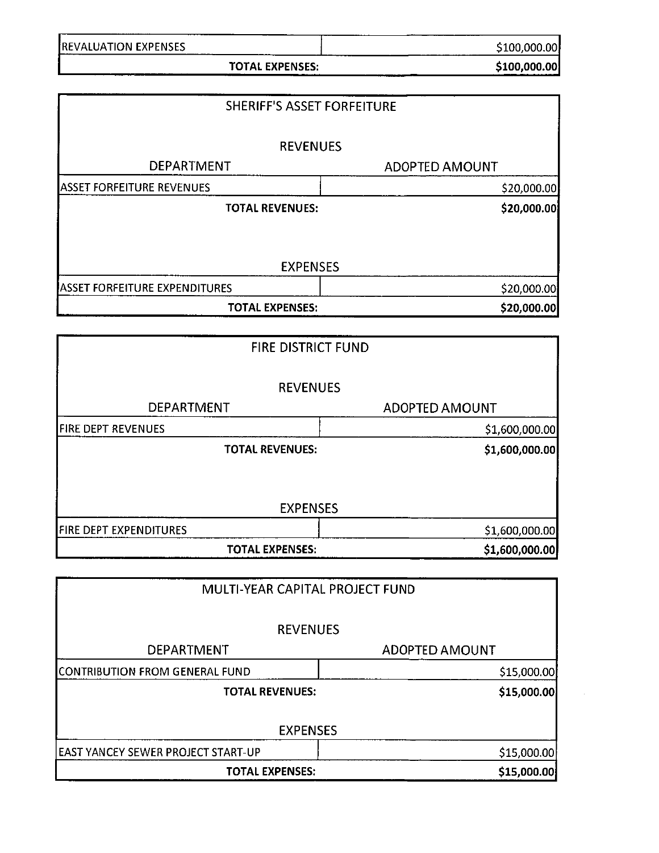| <b>REVALUATION EXPENSES</b>           | \$100,000.00          |
|---------------------------------------|-----------------------|
| <b>TOTAL EXPENSES:</b>                | \$100,000.00          |
| <b>SHERIFF'S ASSET FORFEITURE</b>     |                       |
|                                       |                       |
| <b>REVENUES</b>                       |                       |
| <b>DEPARTMENT</b>                     | <b>ADOPTED AMOUNT</b> |
| <b>ASSET FORFEITURE REVENUES</b>      | \$20,000.00           |
| <b>TOTAL REVENUES:</b>                | \$20,000.00           |
| <b>EXPENSES</b>                       |                       |
| <b>ASSET FORFEITURE EXPENDITURES</b>  | \$20,000.00           |
| <b>TOTAL EXPENSES:</b>                | \$20,000.00           |
|                                       |                       |
| FIRE DISTRICT FUND                    |                       |
| <b>REVENUES</b>                       |                       |
| DEPARTMENT                            | <b>ADOPTED AMOUNT</b> |
| <b>FIRE DEPT REVENUES</b>             | \$1,600,000.00        |
| <b>TOTAL REVENUES:</b>                | \$1,600,000.00        |
| <b>EXPENSES</b>                       |                       |
| FIRE DEPT EXPENDITURES                | \$1,600,000.00        |
| <b>TOTAL EXPENSES:</b>                | \$1,600,000.00        |
|                                       |                       |
| MULTI-YEAR CAPITAL PROJECT FUND       |                       |
| <b>REVENUES</b>                       |                       |
| DEPARTMENT                            | <b>ADOPTED AMOUNT</b> |
| <b>CONTRIBUTION FROM GENERAL FUND</b> | \$15,000.00           |
| <b>TOTAL REVENUES:</b>                | \$15,000.00           |
|                                       |                       |
| <b>EXPENSES</b>                       |                       |

| .                                          |             |
|--------------------------------------------|-------------|
| <b>IEAST YANCEY SEWER PROJECT START-UP</b> | \$15,000.00 |
| <b>TOTAL EXPENSES:</b>                     | \$15,000.00 |
|                                            |             |

 $\mathcal{L}^{\mathcal{A}}$